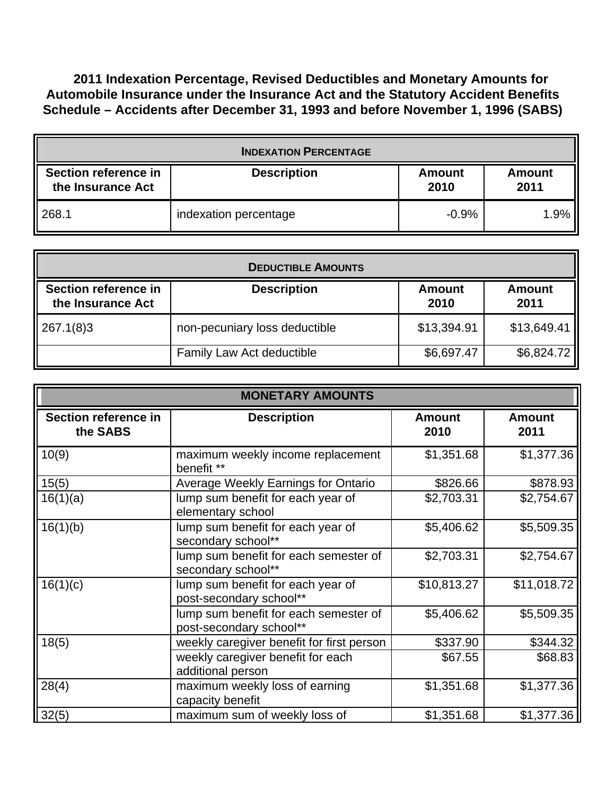**2011 Indexation Percentage, Revised Deductibles and Monetary Amounts for Automobile Insurance under the Insurance Act and the Statutory Accident Benefits Schedule – Accidents after December 31, 1993 and before November 1, 1996 (SABS)** 

| <b>INDEXATION PERCENTAGE</b>              |                       |                       |                       |  |  |
|-------------------------------------------|-----------------------|-----------------------|-----------------------|--|--|
| Section reference in<br>the Insurance Act | <b>Description</b>    | <b>Amount</b><br>2010 | <b>Amount</b><br>2011 |  |  |
| 268.1                                     | indexation percentage | $-0.9%$               | $1.9\%$               |  |  |

| <b>DEDUCTIBLE AMOUNTS</b>                 |                               |                       |                       |  |  |
|-------------------------------------------|-------------------------------|-----------------------|-----------------------|--|--|
| Section reference in<br>the Insurance Act | <b>Description</b>            | <b>Amount</b><br>2010 | <b>Amount</b><br>2011 |  |  |
| 267.1(8)3                                 | non-pecuniary loss deductible | \$13,394.91           | \$13,649.41           |  |  |
|                                           | Family Law Act deductible     | \$6,697.47            | \$6,824.72            |  |  |

| <b>MONETARY AMOUNTS</b>          |                                                                  |                       |                       |  |
|----------------------------------|------------------------------------------------------------------|-----------------------|-----------------------|--|
| Section reference in<br>the SABS | <b>Description</b>                                               | <b>Amount</b><br>2010 | <b>Amount</b><br>2011 |  |
| 10(9)                            | maximum weekly income replacement<br>benefit **                  | \$1,351.68            | \$1,377.36            |  |
| 15(5)                            | Average Weekly Earnings for Ontario                              | \$826.66              | \$878.93              |  |
| 16(1)(a)                         | lump sum benefit for each year of<br>elementary school           | \$2,703.31            | \$2,754.67            |  |
| 16(1)(b)                         | lump sum benefit for each year of<br>secondary school**          | \$5,406.62            | \$5,509.35            |  |
|                                  | lump sum benefit for each semester of<br>secondary school**      | \$2,703.31            | \$2,754.67            |  |
| 16(1)(c)                         | lump sum benefit for each year of<br>post-secondary school**     | \$10,813.27           | \$11,018.72           |  |
|                                  | lump sum benefit for each semester of<br>post-secondary school** | \$5,406.62            | \$5,509.35            |  |
| 18(5)                            | weekly caregiver benefit for first person                        | \$337.90              | \$344.32              |  |
|                                  | weekly caregiver benefit for each<br>additional person           | \$67.55               | \$68.83               |  |
| 28(4)                            | maximum weekly loss of earning<br>capacity benefit               | \$1,351.68            | \$1,377.36            |  |
| 32(5)                            | maximum sum of weekly loss of                                    | \$1,351.68            | \$1,377.36            |  |